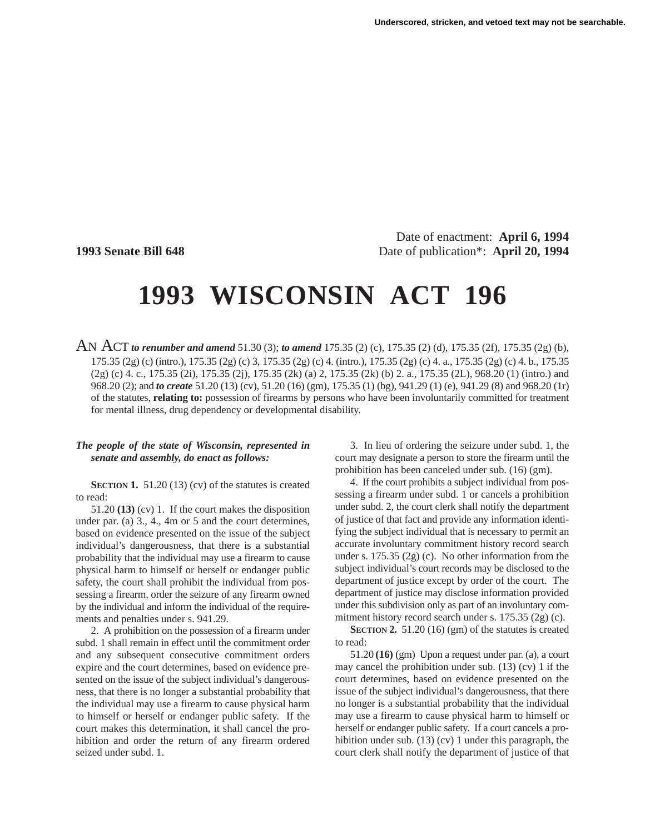Date of enactment: **April 6, 1994 1993 Senate Bill 648** Date of publication<sup>\*</sup>: **April 20, 1994** 

# **1993 WISCONSIN ACT 196**

AN ACT *to renumber and amend* 51.30 (3); *to amend* 175.35 (2) (c), 175.35 (2) (d), 175.35 (2f), 175.35 (2g) (b), 175.35 (2g) (c) (intro.), 175.35 (2g) (c) 3, 175.35 (2g) (c) 4. (intro.), 175.35 (2g) (c) 4. a., 175.35 (2g) (c) 4. b., 175.35 (2g) (c) 4. c., 175.35 (2i), 175.35 (2j), 175.35 (2k) (a) 2, 175.35 (2k) (b) 2. a., 175.35 (2L), 968.20 (1) (intro.) and 968.20 (2); and *to create* 51.20 (13) (cv), 51.20 (16) (gm), 175.35 (1) (bg), 941.29 (1) (e), 941.29 (8) and 968.20 (1r) of the statutes, **relating to:** possession of firearms by persons who have been involuntarily committed for treatment for mental illness, drug dependency or developmental disability.

### *The people of the state of Wisconsin, represented in senate and assembly, do enact as follows:*

**SECTION 1.** 51.20 (13) (cv) of the statutes is created to read:

51.20 **(13)** (cv) 1. If the court makes the disposition under par. (a) 3., 4., 4m or 5 and the court determines, based on evidence presented on the issue of the subject individual's dangerousness, that there is a substantial probability that the individual may use a firearm to cause physical harm to himself or herself or endanger public safety, the court shall prohibit the individual from possessing a firearm, order the seizure of any firearm owned by the individual and inform the individual of the requirements and penalties under s. 941.29.

2. A prohibition on the possession of a firearm under subd. 1 shall remain in effect until the commitment order and any subsequent consecutive commitment orders expire and the court determines, based on evidence presented on the issue of the subject individual's dangerousness, that there is no longer a substantial probability that the individual may use a firearm to cause physical harm to himself or herself or endanger public safety. If the court makes this determination, it shall cancel the prohibition and order the return of any firearm ordered seized under subd. 1.

3. In lieu of ordering the seizure under subd. 1, the court may designate a person to store the firearm until the prohibition has been canceled under sub. (16) (gm).

4. If the court prohibits a subject individual from possessing a firearm under subd. 1 or cancels a prohibition under subd. 2, the court clerk shall notify the department of justice of that fact and provide any information identifying the subject individual that is necessary to permit an accurate involuntary commitment history record search under s. 175.35 (2g) (c). No other information from the subject individual's court records may be disclosed to the department of justice except by order of the court. The department of justice may disclose information provided under this subdivision only as part of an involuntary commitment history record search under s. 175.35 (2g) (c).

**SECTION 2.** 51.20 (16) (gm) of the statutes is created to read:

51.20 **(16)** (gm) Upon a request under par. (a), a court may cancel the prohibition under sub. (13) (cv) 1 if the court determines, based on evidence presented on the issue of the subject individual's dangerousness, that there no longer is a substantial probability that the individual may use a firearm to cause physical harm to himself or herself or endanger public safety. If a court cancels a prohibition under sub. (13) (cv) 1 under this paragraph, the court clerk shall notify the department of justice of that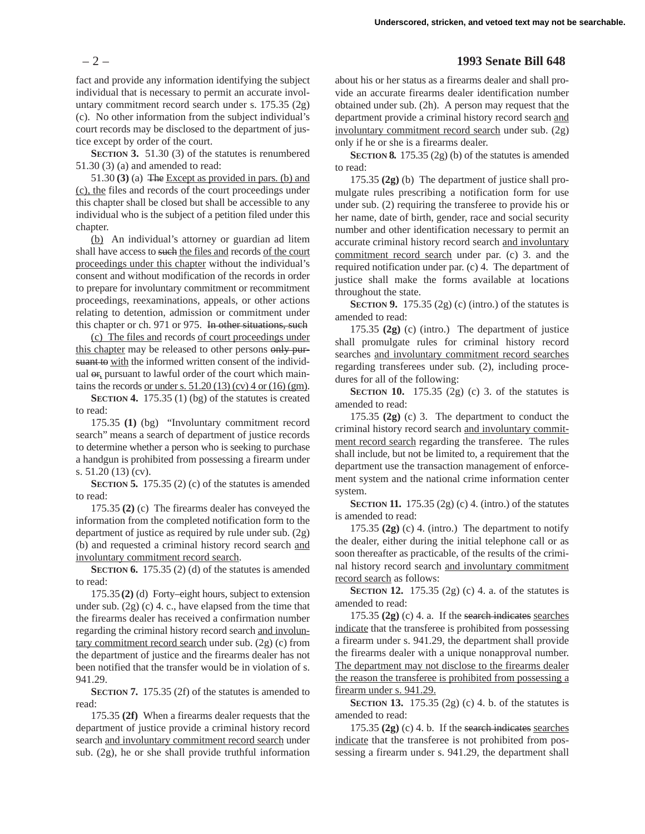fact and provide any information identifying the subject individual that is necessary to permit an accurate involuntary commitment record search under s. 175.35 (2g) (c). No other information from the subject individual's court records may be disclosed to the department of justice except by order of the court.

**SECTION 3.** 51.30 (3) of the statutes is renumbered 51.30 (3) (a) and amended to read:

51.30 **(3)** (a) The Except as provided in pars. (b) and (c), the files and records of the court proceedings under this chapter shall be closed but shall be accessible to any individual who is the subject of a petition filed under this chapter.

(b) An individual's attorney or guardian ad litem shall have access to such the files and records of the court proceedings under this chapter without the individual's consent and without modification of the records in order to prepare for involuntary commitment or recommitment proceedings, reexaminations, appeals, or other actions relating to detention, admission or commitment under this chapter or ch. 971 or 975. In other situations, such

(c) The files and records of court proceedings under this chapter may be released to other persons only pursuant to with the informed written consent of the individual  $\Theta$ <sub>r</sub> pursuant to lawful order of the court which maintains the records or under s.  $51.20(13)(cv)$  4 or  $(16)(gm)$ .

**SECTION 4.** 175.35 (1) (bg) of the statutes is created to read:

175.35 **(1)** (bg) "Involuntary commitment record search" means a search of department of justice records to determine whether a person who is seeking to purchase a handgun is prohibited from possessing a firearm under s. 51.20 (13) (cv).

**SECTION 5.** 175.35 (2) (c) of the statutes is amended to read:

175.35 **(2)** (c) The firearms dealer has conveyed the information from the completed notification form to the department of justice as required by rule under sub. (2g) (b) and requested a criminal history record search and involuntary commitment record search.

**SECTION 6.** 175.35 (2) (d) of the statutes is amended to read:

175.35 **(2)** (d) Forty–eight hours, subject to extension under sub. (2g) (c) 4. c., have elapsed from the time that the firearms dealer has received a confirmation number regarding the criminal history record search and involuntary commitment record search under sub. (2g) (c) from the department of justice and the firearms dealer has not been notified that the transfer would be in violation of s. 941.29.

**SECTION 7.** 175.35 (2f) of the statutes is amended to read:

175.35 **(2f)** When a firearms dealer requests that the department of justice provide a criminal history record search and involuntary commitment record search under sub. (2g), he or she shall provide truthful information

## – 2 – **1993 Senate Bill 648**

about his or her status as a firearms dealer and shall provide an accurate firearms dealer identification number obtained under sub. (2h). A person may request that the department provide a criminal history record search and involuntary commitment record search under sub. (2g) only if he or she is a firearms dealer.

**SECTION 8.** 175.35 (2g) (b) of the statutes is amended to read:

175.35 **(2g)** (b) The department of justice shall promulgate rules prescribing a notification form for use under sub. (2) requiring the transferee to provide his or her name, date of birth, gender, race and social security number and other identification necessary to permit an accurate criminal history record search and involuntary commitment record search under par. (c) 3. and the required notification under par. (c) 4. The department of justice shall make the forms available at locations throughout the state.

**SECTION 9.** 175.35 (2g) (c) (intro.) of the statutes is amended to read:

175.35 **(2g)** (c) (intro.) The department of justice shall promulgate rules for criminal history record searches and involuntary commitment record searches regarding transferees under sub. (2), including procedures for all of the following:

**SECTION 10.** 175.35 (2g) (c) 3. of the statutes is amended to read:

175.35 **(2g)** (c) 3. The department to conduct the criminal history record search and involuntary commitment record search regarding the transferee. The rules shall include, but not be limited to, a requirement that the department use the transaction management of enforcement system and the national crime information center system.

**SECTION 11.** 175.35 (2g) (c) 4. (intro.) of the statutes is amended to read:

175.35 **(2g)** (c) 4. (intro.) The department to notify the dealer, either during the initial telephone call or as soon thereafter as practicable, of the results of the criminal history record search and involuntary commitment record search as follows:

**SECTION 12.** 175.35 (2g) (c) 4. a. of the statutes is amended to read:

175.35 **(2g)** (c) 4. a. If the search indicates searches indicate that the transferee is prohibited from possessing a firearm under s. 941.29, the department shall provide the firearms dealer with a unique nonapproval number. The department may not disclose to the firearms dealer the reason the transferee is prohibited from possessing a firearm under s. 941.29.

**SECTION 13.** 175.35 (2g) (c) 4. b. of the statutes is amended to read:

175.35 **(2g)** (c) 4. b. If the search indicates searches indicate that the transferee is not prohibited from possessing a firearm under s. 941.29, the department shall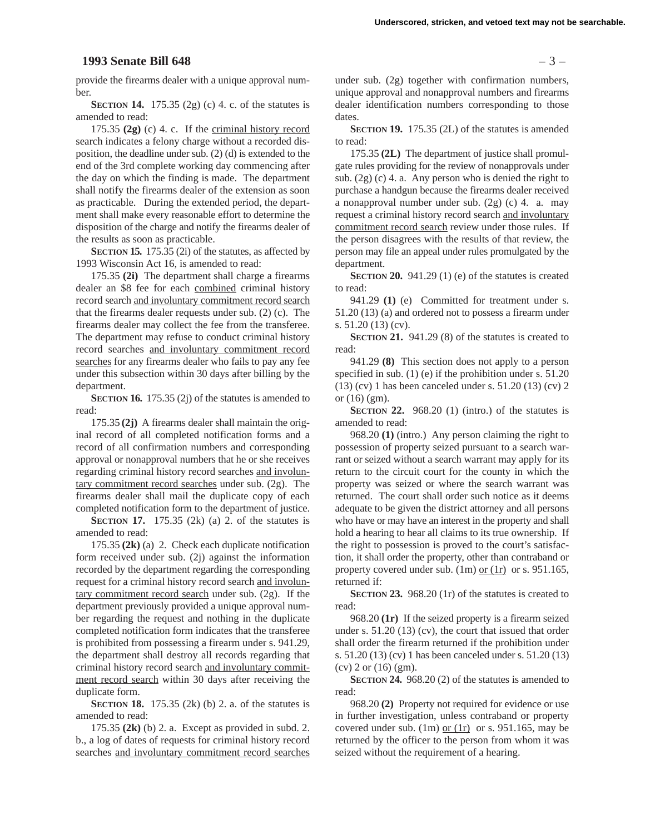#### **1993 Senate Bill 648** – 3 –

provide the firearms dealer with a unique approval number.

**SECTION 14.** 175.35 (2g) (c) 4. c. of the statutes is amended to read:

175.35 **(2g)** (c) 4. c. If the criminal history record search indicates a felony charge without a recorded disposition, the deadline under sub. (2) (d) is extended to the end of the 3rd complete working day commencing after the day on which the finding is made. The department shall notify the firearms dealer of the extension as soon as practicable. During the extended period, the department shall make every reasonable effort to determine the disposition of the charge and notify the firearms dealer of the results as soon as practicable.

**SECTION 15.** 175.35 (2i) of the statutes, as affected by 1993 Wisconsin Act 16, is amended to read:

175.35 **(2i)** The department shall charge a firearms dealer an \$8 fee for each combined criminal history record search and involuntary commitment record search that the firearms dealer requests under sub. (2) (c). The firearms dealer may collect the fee from the transferee. The department may refuse to conduct criminal history record searches and involuntary commitment record searches for any firearms dealer who fails to pay any fee under this subsection within 30 days after billing by the department.

**SECTION 16.** 175.35 (2j) of the statutes is amended to read:

175.35 **(2j)** A firearms dealer shall maintain the original record of all completed notification forms and a record of all confirmation numbers and corresponding approval or nonapproval numbers that he or she receives regarding criminal history record searches and involuntary commitment record searches under sub. (2g). The firearms dealer shall mail the duplicate copy of each completed notification form to the department of justice.

**SECTION 17.** 175.35 (2k) (a) 2. of the statutes is amended to read:

175.35 **(2k)** (a) 2. Check each duplicate notification form received under sub. (2j) against the information recorded by the department regarding the corresponding request for a criminal history record search and involuntary commitment record search under sub. (2g). If the department previously provided a unique approval number regarding the request and nothing in the duplicate completed notification form indicates that the transferee is prohibited from possessing a firearm under s. 941.29, the department shall destroy all records regarding that criminal history record search and involuntary commitment record search within 30 days after receiving the duplicate form.

**SECTION 18.** 175.35 (2k) (b) 2. a. of the statutes is amended to read:

175.35 **(2k)** (b) 2. a. Except as provided in subd. 2. b., a log of dates of requests for criminal history record searches and involuntary commitment record searches

under sub. (2g) together with confirmation numbers, unique approval and nonapproval numbers and firearms dealer identification numbers corresponding to those dates.

**SECTION 19.** 175.35 (2L) of the statutes is amended to read:

175.35 **(2L)** The department of justice shall promulgate rules providing for the review of nonapprovals under sub. (2g) (c) 4. a. Any person who is denied the right to purchase a handgun because the firearms dealer received a nonapproval number under sub. (2g) (c) 4. a. may request a criminal history record search and involuntary commitment record search review under those rules. If the person disagrees with the results of that review, the person may file an appeal under rules promulgated by the department.

**SECTION 20.** 941.29 (1) (e) of the statutes is created to read:

941.29 **(1)** (e) Committed for treatment under s. 51.20 (13) (a) and ordered not to possess a firearm under s. 51.20 (13) (cv).

**SECTION 21.** 941.29 (8) of the statutes is created to read:

941.29 **(8)** This section does not apply to a person specified in sub. (1) (e) if the prohibition under s. 51.20 (13) (cv) 1 has been canceled under s. 51.20 (13) (cv) 2 or (16) (gm).

**SECTION 22.** 968.20 (1) (intro.) of the statutes is amended to read:

968.20 **(1)** (intro.) Any person claiming the right to possession of property seized pursuant to a search warrant or seized without a search warrant may apply for its return to the circuit court for the county in which the property was seized or where the search warrant was returned. The court shall order such notice as it deems adequate to be given the district attorney and all persons who have or may have an interest in the property and shall hold a hearing to hear all claims to its true ownership. If the right to possession is proved to the court's satisfaction, it shall order the property, other than contraband or property covered under sub. (1m) or (1r) or s. 951.165, returned if:

**SECTION 23.** 968.20 (1r) of the statutes is created to read:

968.20 **(1r)** If the seized property is a firearm seized under s. 51.20 (13) (cv), the court that issued that order shall order the firearm returned if the prohibition under s. 51.20 (13) (cv) 1 has been canceled under s. 51.20 (13) (cv) 2 or (16) (gm).

**SECTION 24.** 968.20 (2) of the statutes is amended to read:

968.20 **(2)** Property not required for evidence or use in further investigation, unless contraband or property covered under sub.  $(1m)$  or  $(1r)$  or s. 951.165, may be returned by the officer to the person from whom it was seized without the requirement of a hearing.